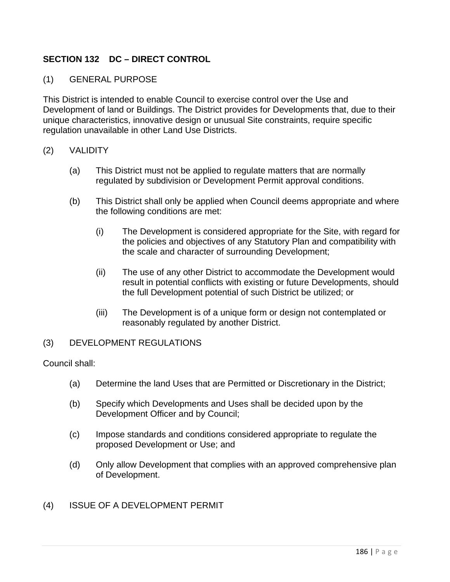## **SECTION 132 DC – DIRECT CONTROL**

## (1) GENERAL PURPOSE

This District is intended to enable Council to exercise control over the Use and Development of land or Buildings. The District provides for Developments that, due to their unique characteristics, innovative design or unusual Site constraints, require specific regulation unavailable in other Land Use Districts.

## (2) VALIDITY

- (a) This District must not be applied to regulate matters that are normally regulated by subdivision or Development Permit approval conditions.
- (b) This District shall only be applied when Council deems appropriate and where the following conditions are met:
	- (i) The Development is considered appropriate for the Site, with regard for the policies and objectives of any Statutory Plan and compatibility with the scale and character of surrounding Development;
	- (ii) The use of any other District to accommodate the Development would result in potential conflicts with existing or future Developments, should the full Development potential of such District be utilized; or
	- (iii) The Development is of a unique form or design not contemplated or reasonably regulated by another District.

## (3) DEVELOPMENT REGULATIONS

Council shall:

- (a) Determine the land Uses that are Permitted or Discretionary in the District;
- (b) Specify which Developments and Uses shall be decided upon by the Development Officer and by Council;
- (c) Impose standards and conditions considered appropriate to regulate the proposed Development or Use; and
- (d) Only allow Development that complies with an approved comprehensive plan of Development.
- (4) ISSUE OF A DEVELOPMENT PERMIT